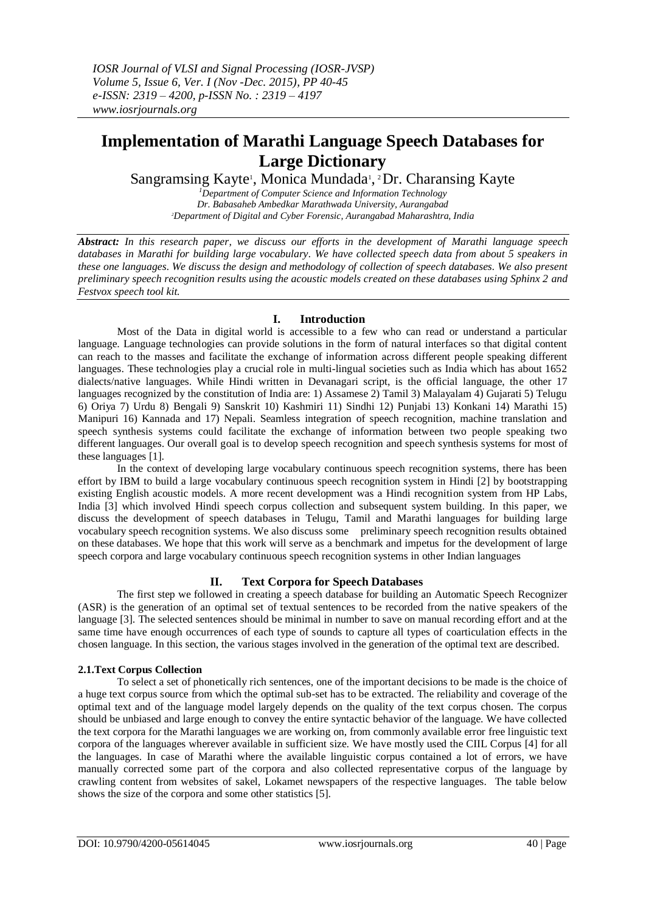# **Implementation of Marathi Language Speech Databases for Large Dictionary**

Sangramsing Kayte<sup>1</sup>, Monica Mundada<sup>1</sup>, <sup>2</sup>Dr. Charansing Kayte

*<sup>1</sup>Department of Computer Science and Information Technology Dr. Babasaheb Ambedkar Marathwada University, Aurangabad <sup>2</sup>Department of Digital and Cyber Forensic, Aurangabad Maharashtra, India*

*Abstract: In this research paper, we discuss our efforts in the development of Marathi language speech databases in Marathi for building large vocabulary. We have collected speech data from about 5 speakers in these one languages. We discuss the design and methodology of collection of speech databases. We also present preliminary speech recognition results using the acoustic models created on these databases using Sphinx 2 and Festvox speech tool kit.* 

## **I. Introduction**

Most of the Data in digital world is accessible to a few who can read or understand a particular language. Language technologies can provide solutions in the form of natural interfaces so that digital content can reach to the masses and facilitate the exchange of information across different people speaking different languages. These technologies play a crucial role in multi-lingual societies such as India which has about 1652 dialects/native languages. While Hindi written in Devanagari script, is the official language, the other 17 languages recognized by the constitution of India are: 1) Assamese 2) Tamil 3) Malayalam 4) Gujarati 5) Telugu 6) Oriya 7) Urdu 8) Bengali 9) Sanskrit 10) Kashmiri 11) Sindhi 12) Punjabi 13) Konkani 14) Marathi 15) Manipuri 16) Kannada and 17) Nepali. Seamless integration of speech recognition, machine translation and speech synthesis systems could facilitate the exchange of information between two people speaking two different languages. Our overall goal is to develop speech recognition and speech synthesis systems for most of these languages [1].

In the context of developing large vocabulary continuous speech recognition systems, there has been effort by IBM to build a large vocabulary continuous speech recognition system in Hindi [2] by bootstrapping existing English acoustic models. A more recent development was a Hindi recognition system from HP Labs, India [3] which involved Hindi speech corpus collection and subsequent system building. In this paper, we discuss the development of speech databases in Telugu, Tamil and Marathi languages for building large vocabulary speech recognition systems. We also discuss some preliminary speech recognition results obtained on these databases. We hope that this work will serve as a benchmark and impetus for the development of large speech corpora and large vocabulary continuous speech recognition systems in other Indian languages

## **II. Text Corpora for Speech Databases**

The first step we followed in creating a speech database for building an Automatic Speech Recognizer (ASR) is the generation of an optimal set of textual sentences to be recorded from the native speakers of the language [3]. The selected sentences should be minimal in number to save on manual recording effort and at the same time have enough occurrences of each type of sounds to capture all types of coarticulation effects in the chosen language. In this section, the various stages involved in the generation of the optimal text are described.

## **2.1.Text Corpus Collection**

To select a set of phonetically rich sentences, one of the important decisions to be made is the choice of a huge text corpus source from which the optimal sub-set has to be extracted. The reliability and coverage of the optimal text and of the language model largely depends on the quality of the text corpus chosen. The corpus should be unbiased and large enough to convey the entire syntactic behavior of the language. We have collected the text corpora for the Marathi languages we are working on, from commonly available error free linguistic text corpora of the languages wherever available in sufficient size. We have mostly used the CIIL Corpus [4] for all the languages. In case of Marathi where the available linguistic corpus contained a lot of errors, we have manually corrected some part of the corpora and also collected representative corpus of the language by crawling content from websites of sakel, Lokamet newspapers of the respective languages. The table below shows the size of the corpora and some other statistics [5].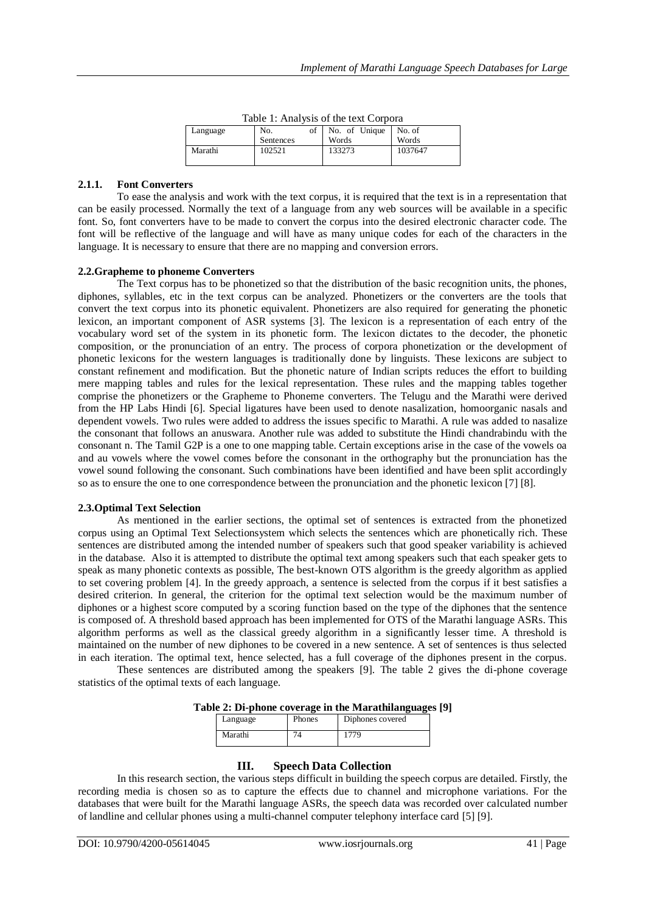| Table 1. Thial (313 OF the text Corpora |           |               |         |  |
|-----------------------------------------|-----------|---------------|---------|--|
| Language                                | No.       | No. of Unique | No. of  |  |
|                                         | Sentences | Words         | Words   |  |
| Marathi                                 | 102521    | 133273        | 1037647 |  |

Table 1: Analysis of the text Corpora

## **2.1.1. Font Converters**

To ease the analysis and work with the text corpus, it is required that the text is in a representation that can be easily processed. Normally the text of a language from any web sources will be available in a specific font. So, font converters have to be made to convert the corpus into the desired electronic character code. The font will be reflective of the language and will have as many unique codes for each of the characters in the language. It is necessary to ensure that there are no mapping and conversion errors.

#### **2.2.Grapheme to phoneme Converters**

The Text corpus has to be phonetized so that the distribution of the basic recognition units, the phones, diphones, syllables, etc in the text corpus can be analyzed. Phonetizers or the converters are the tools that convert the text corpus into its phonetic equivalent. Phonetizers are also required for generating the phonetic lexicon, an important component of ASR systems [3]. The lexicon is a representation of each entry of the vocabulary word set of the system in its phonetic form. The lexicon dictates to the decoder, the phonetic composition, or the pronunciation of an entry. The process of corpora phonetization or the development of phonetic lexicons for the western languages is traditionally done by linguists. These lexicons are subject to constant refinement and modification. But the phonetic nature of Indian scripts reduces the effort to building mere mapping tables and rules for the lexical representation. These rules and the mapping tables together comprise the phonetizers or the Grapheme to Phoneme converters. The Telugu and the Marathi were derived from the HP Labs Hindi [6]. Special ligatures have been used to denote nasalization, homoorganic nasals and dependent vowels. Two rules were added to address the issues specific to Marathi. A rule was added to nasalize the consonant that follows an anuswara. Another rule was added to substitute the Hindi chandrabindu with the consonant n. The Tamil G2P is a one to one mapping table. Certain exceptions arise in the case of the vowels oa and au vowels where the vowel comes before the consonant in the orthography but the pronunciation has the vowel sound following the consonant. Such combinations have been identified and have been split accordingly so as to ensure the one to one correspondence between the pronunciation and the phonetic lexicon [7] [8].

#### **2.3.Optimal Text Selection**

As mentioned in the earlier sections, the optimal set of sentences is extracted from the phonetized corpus using an Optimal Text Selectionsystem which selects the sentences which are phonetically rich. These sentences are distributed among the intended number of speakers such that good speaker variability is achieved in the database. Also it is attempted to distribute the optimal text among speakers such that each speaker gets to speak as many phonetic contexts as possible, The best-known OTS algorithm is the greedy algorithm as applied to set covering problem [4]. In the greedy approach, a sentence is selected from the corpus if it best satisfies a desired criterion. In general, the criterion for the optimal text selection would be the maximum number of diphones or a highest score computed by a scoring function based on the type of the diphones that the sentence is composed of. A threshold based approach has been implemented for OTS of the Marathi language ASRs. This algorithm performs as well as the classical greedy algorithm in a significantly lesser time. A threshold is maintained on the number of new diphones to be covered in a new sentence. A set of sentences is thus selected in each iteration. The optimal text, hence selected, has a full coverage of the diphones present in the corpus.

These sentences are distributed among the speakers [9]. The table 2 gives the di-phone coverage statistics of the optimal texts of each language.

| Table 2: Di-phone coverage in the Marathilanguages [9] |  |  |  |
|--------------------------------------------------------|--|--|--|
|--------------------------------------------------------|--|--|--|

| Language | Phones | Diphones covered |
|----------|--------|------------------|
| Marathi  |        |                  |

## **III. Speech Data Collection**

In this research section, the various steps difficult in building the speech corpus are detailed. Firstly, the recording media is chosen so as to capture the effects due to channel and microphone variations. For the databases that were built for the Marathi language ASRs, the speech data was recorded over calculated number of landline and cellular phones using a multi-channel computer telephony interface card [5] [9].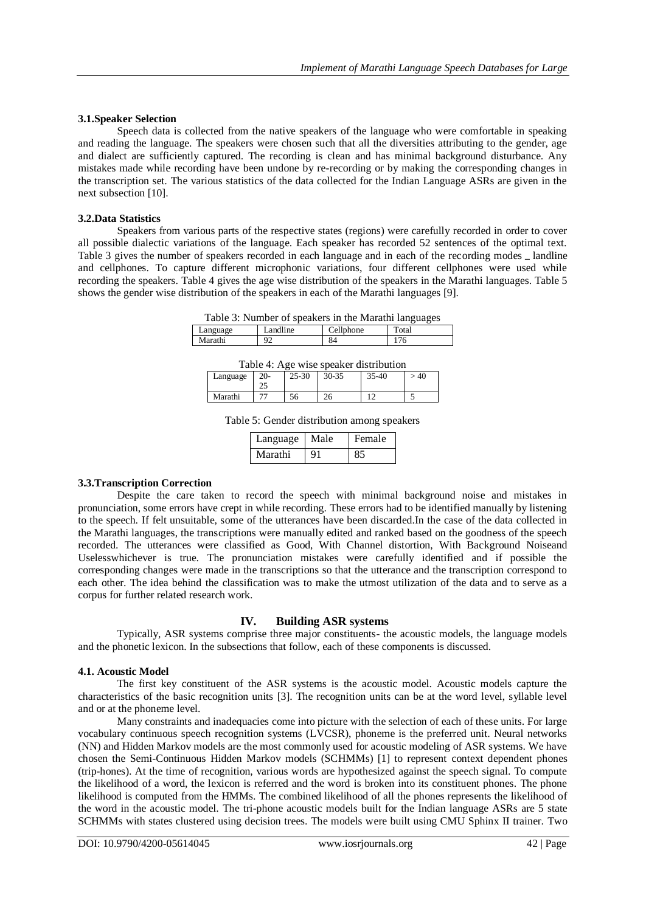#### **3.1.Speaker Selection**

Speech data is collected from the native speakers of the language who were comfortable in speaking and reading the language. The speakers were chosen such that all the diversities attributing to the gender, age and dialect are sufficiently captured. The recording is clean and has minimal background disturbance. Any mistakes made while recording have been undone by re-recording or by making the corresponding changes in the transcription set. The various statistics of the data collected for the Indian Language ASRs are given in the next subsection [10].

## **3.2.Data Statistics**

Speakers from various parts of the respective states (regions) were carefully recorded in order to cover all possible dialectic variations of the language. Each speaker has recorded 52 sentences of the optimal text. Table 3 gives the number of speakers recorded in each language and in each of the recording modes \_ landline and cellphones. To capture different microphonic variations, four different cellphones were used while recording the speakers. Table 4 gives the age wise distribution of the speakers in the Marathi languages. Table 5 shows the gender wise distribution of the speakers in each of the Marathi languages [9].

Table 3: Number of speakers in the Marathi languages

|                    | . .                           |                           | __<br>-- |
|--------------------|-------------------------------|---------------------------|----------|
| anguage<br>allyon. | 11.7<br><sub>1</sub> ne<br>2n | $\mathbf{H}$<br>hone<br>Δ | Total    |
| iarathi            | ∼<br>-                        | O4                        | 76       |
|                    |                               |                           |          |

Table 4: Age wise speaker distribution

| anguage | $\Omega$<br>–∪-<br>ل | $25 - 30$ | 30-35     | 5-40<br>つご | 40 |
|---------|----------------------|-----------|-----------|------------|----|
| Marathi |                      | эb        | 26<br>- - |            |    |

Table 5: Gender distribution among speakers

| Language | Male | Female |
|----------|------|--------|
| Marathi  | 91   |        |

## **3.3.Transcription Correction**

Despite the care taken to record the speech with minimal background noise and mistakes in pronunciation, some errors have crept in while recording. These errors had to be identified manually by listening to the speech. If felt unsuitable, some of the utterances have been discarded.In the case of the data collected in the Marathi languages, the transcriptions were manually edited and ranked based on the goodness of the speech recorded. The utterances were classified as Good, With Channel distortion, With Background Noiseand Uselesswhichever is true. The pronunciation mistakes were carefully identified and if possible the corresponding changes were made in the transcriptions so that the utterance and the transcription correspond to each other. The idea behind the classification was to make the utmost utilization of the data and to serve as a corpus for further related research work.

## **IV. Building ASR systems**

Typically, ASR systems comprise three major constituents- the acoustic models, the language models and the phonetic lexicon. In the subsections that follow, each of these components is discussed.

#### **4.1. Acoustic Model**

The first key constituent of the ASR systems is the acoustic model. Acoustic models capture the characteristics of the basic recognition units [3]. The recognition units can be at the word level, syllable level and or at the phoneme level.

Many constraints and inadequacies come into picture with the selection of each of these units. For large vocabulary continuous speech recognition systems (LVCSR), phoneme is the preferred unit. Neural networks (NN) and Hidden Markov models are the most commonly used for acoustic modeling of ASR systems. We have chosen the Semi-Continuous Hidden Markov models (SCHMMs) [1] to represent context dependent phones (trip-hones). At the time of recognition, various words are hypothesized against the speech signal. To compute the likelihood of a word, the lexicon is referred and the word is broken into its constituent phones. The phone likelihood is computed from the HMMs. The combined likelihood of all the phones represents the likelihood of the word in the acoustic model. The tri-phone acoustic models built for the Indian language ASRs are 5 state SCHMMs with states clustered using decision trees. The models were built using CMU Sphinx II trainer. Two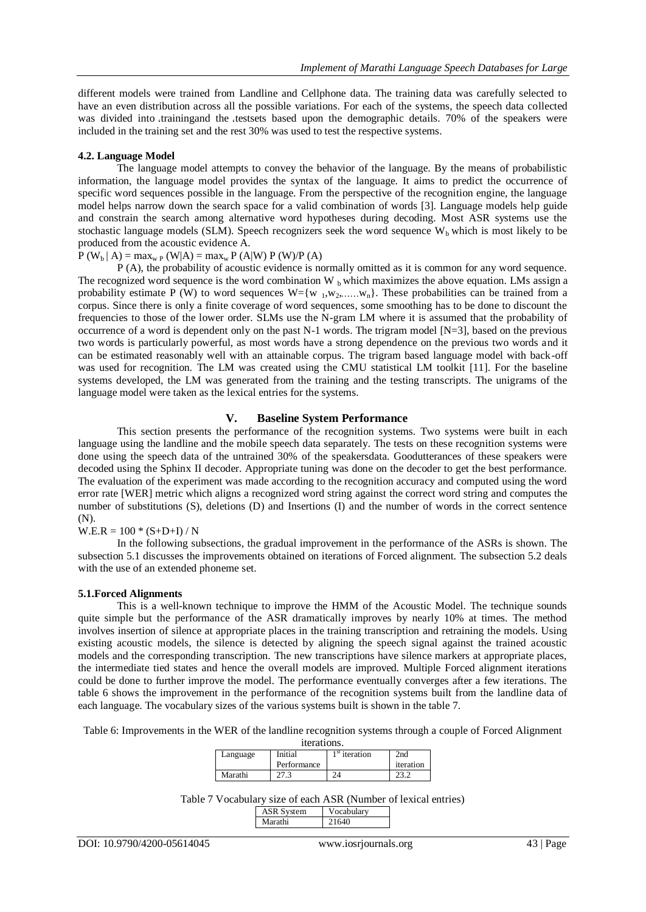different models were trained from Landline and Cellphone data. The training data was carefully selected to have an even distribution across all the possible variations. For each of the systems, the speech data collected was divided into trainingand the testsets based upon the demographic details. 70% of the speakers were included in the training set and the rest 30% was used to test the respective systems.

## **4.2. Language Model**

The language model attempts to convey the behavior of the language. By the means of probabilistic information, the language model provides the syntax of the language. It aims to predict the occurrence of specific word sequences possible in the language. From the perspective of the recognition engine, the language model helps narrow down the search space for a valid combination of words [3]. Language models help guide and constrain the search among alternative word hypotheses during decoding. Most ASR systems use the stochastic language models (SLM). Speech recognizers seek the word sequence  $W<sub>b</sub>$  which is most likely to be produced from the acoustic evidence A.

 $P(W_b | A) = max_{w} P(W|A) = max_w P(A|W) P(W)/P(A)$ 

P (A), the probability of acoustic evidence is normally omitted as it is common for any word sequence. The recognized word sequence is the word combination W  $_b$  which maximizes the above equation. LMs assign a probability estimate P (W) to word sequences  $W=[w_1,w_2, \ldots, w_n]$ . These probabilities can be trained from a corpus. Since there is only a finite coverage of word sequences, some smoothing has to be done to discount the frequencies to those of the lower order. SLMs use the N-gram LM where it is assumed that the probability of occurrence of a word is dependent only on the past N-1 words. The trigram model  $[N=3]$ , based on the previous two words is particularly powerful, as most words have a strong dependence on the previous two words and it can be estimated reasonably well with an attainable corpus. The trigram based language model with back-off was used for recognition. The LM was created using the CMU statistical LM toolkit [11]. For the baseline systems developed, the LM was generated from the training and the testing transcripts. The unigrams of the language model were taken as the lexical entries for the systems.

## **V. Baseline System Performance**

This section presents the performance of the recognition systems. Two systems were built in each language using the landline and the mobile speech data separately. The tests on these recognition systems were done using the speech data of the untrained 30% of the speakersdata. Goodutterances of these speakers were decoded using the Sphinx II decoder. Appropriate tuning was done on the decoder to get the best performance. The evaluation of the experiment was made according to the recognition accuracy and computed using the word error rate [WER] metric which aligns a recognized word string against the correct word string and computes the number of substitutions (S), deletions (D) and Insertions (I) and the number of words in the correct sentence (N).

 $W.E.R = 100 * (S+D+I) / N$ 

In the following subsections, the gradual improvement in the performance of the ASRs is shown. The subsection 5.1 discusses the improvements obtained on iterations of Forced alignment. The subsection 5.2 deals with the use of an extended phoneme set.

#### **5.1.Forced Alignments**

This is a well-known technique to improve the HMM of the Acoustic Model. The technique sounds quite simple but the performance of the ASR dramatically improves by nearly 10% at times. The method involves insertion of silence at appropriate places in the training transcription and retraining the models. Using existing acoustic models, the silence is detected by aligning the speech signal against the trained acoustic models and the corresponding transcription. The new transcriptions have silence markers at appropriate places, the intermediate tied states and hence the overall models are improved. Multiple Forced alignment iterations could be done to further improve the model. The performance eventually converges after a few iterations. The table 6 shows the improvement in the performance of the recognition systems built from the landline data of each language. The vocabulary sizes of the various systems built is shown in the table 7.

Table 6: Improvements in the WER of the landline recognition systems through a couple of Forced Alignment

| iterations. |             |                 |           |  |
|-------------|-------------|-----------------|-----------|--|
| Language    | Initial     | $1st$ iteration | 2nd       |  |
|             | Performance |                 | iteration |  |
| Marathi     |             |                 |           |  |

Table 7 Vocabulary size of each ASR (Number of lexical entries) ASR System Vocabulary Marathi 21640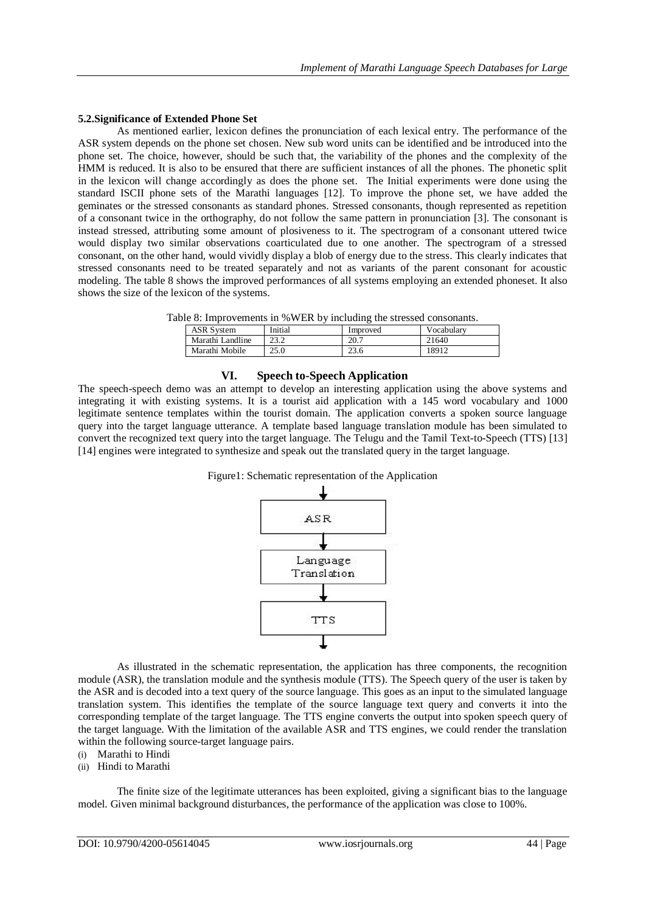## **5.2.Significance of Extended Phone Set**

As mentioned earlier, lexicon defines the pronunciation of each lexical entry. The performance of the ASR system depends on the phone set chosen. New sub word units can be identified and be introduced into the phone set. The choice, however, should be such that, the variability of the phones and the complexity of the HMM is reduced. It is also to be ensured that there are sufficient instances of all the phones. The phonetic split in the lexicon will change accordingly as does the phone set. The Initial experiments were done using the standard ISCII phone sets of the Marathi languages [12]. To improve the phone set, we have added the geminates or the stressed consonants as standard phones. Stressed consonants, though represented as repetition of a consonant twice in the orthography, do not follow the same pattern in pronunciation [3]. The consonant is instead stressed, attributing some amount of plosiveness to it. The spectrogram of a consonant uttered twice would display two similar observations coarticulated due to one another. The spectrogram of a stressed consonant, on the other hand, would vividly display a blob of energy due to the stress. This clearly indicates that stressed consonants need to be treated separately and not as variants of the parent consonant for acoustic modeling. The table 8 shows the improved performances of all systems employing an extended phoneset. It also shows the size of the lexicon of the systems.

Table 8: Improvements in %WER by including the stressed consonants.

|                   |              | -        |            |
|-------------------|--------------|----------|------------|
| <b>ASR System</b> | Initial      | Improved | Vocabulary |
| Marathi Landline  | າາ າ<br>ے. ت | 20.7     | 21640      |
| Marathi Mobile    | 25.0         | 23.6     | 18912      |

## **VI. Speech to-Speech Application**

The speech-speech demo was an attempt to develop an interesting application using the above systems and integrating it with existing systems. It is a tourist aid application with a 145 word vocabulary and 1000 legitimate sentence templates within the tourist domain. The application converts a spoken source language query into the target language utterance. A template based language translation module has been simulated to convert the recognized text query into the target language. The Telugu and the Tamil Text-to-Speech (TTS) [13] [14] engines were integrated to synthesize and speak out the translated query in the target language.





As illustrated in the schematic representation, the application has three components, the recognition module (ASR), the translation module and the synthesis module (TTS). The Speech query of the user is taken by the ASR and is decoded into a text query of the source language. This goes as an input to the simulated language translation system. This identifies the template of the source language text query and converts it into the corresponding template of the target language. The TTS engine converts the output into spoken speech query of the target language. With the limitation of the available ASR and TTS engines, we could render the translation within the following source-target language pairs.

(i) Marathi to Hindi

## (ii) Hindi to Marathi

The finite size of the legitimate utterances has been exploited, giving a significant bias to the language model. Given minimal background disturbances, the performance of the application was close to 100%.